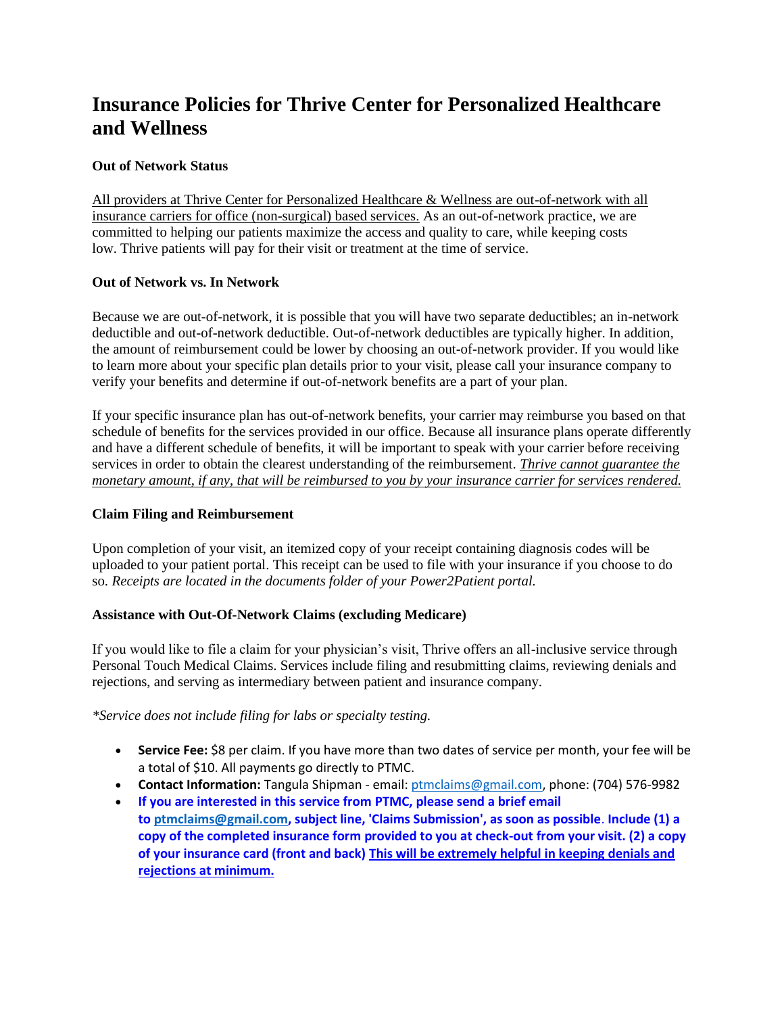# **Insurance Policies for Thrive Center for Personalized Healthcare and Wellness**

## **Out of Network Status**

All providers at Thrive Center for Personalized Healthcare & Wellness are out-of-network with all insurance carriers for office (non-surgical) based services. As an out-of-network practice, we are committed to helping our patients maximize the access and quality to care, while keeping costs low. Thrive patients will pay for their visit or treatment at the time of service.

## **Out of Network vs. In Network**

Because we are out-of-network, it is possible that you will have two separate deductibles; an in-network deductible and out-of-network deductible. Out-of-network deductibles are typically higher. In addition, the amount of reimbursement could be lower by choosing an out-of-network provider. If you would like to learn more about your specific plan details prior to your visit, please call your insurance company to verify your benefits and determine if out-of-network benefits are a part of your plan.

If your specific insurance plan has out-of-network benefits, your carrier may reimburse you based on that schedule of benefits for the services provided in our office. Because all insurance plans operate differently and have a different schedule of benefits, it will be important to speak with your carrier before receiving services in order to obtain the clearest understanding of the reimbursement. *Thrive cannot guarantee the monetary amount, if any, that will be reimbursed to you by your insurance carrier for services rendered.*

#### **Claim Filing and Reimbursement**

Upon completion of your visit, an itemized copy of your receipt containing diagnosis codes will be uploaded to your patient portal. This receipt can be used to file with your insurance if you choose to do so. *Receipts are located in the documents folder of your Power2Patient portal.* 

#### **Assistance with Out-Of-Network Claims (excluding Medicare)**

If you would like to file a claim for your physician's visit, Thrive offers an all-inclusive service through Personal Touch Medical Claims. Services include filing and resubmitting claims, reviewing denials and rejections, and serving as intermediary between patient and insurance company.

#### *\*Service does not include filing for labs or specialty testing.*

- **Service Fee:** \$8 per claim. If you have more than two dates of service per month, your fee will be a total of \$10. All payments go directly to PTMC.
- **Contact Information:** Tangula Shipman email: [ptmclaims@gmail.com,](mailto:ptmclaims@gmail.com) phone: (704) 576-9982
- **If you are interested in this service from PTMC, please send a brief email to [ptmclaims@gmail.com,](mailto:ptmclaims@gmail.com) subject line, 'Claims Submission', as soon as possible**. **Include (1) a copy of the completed insurance form provided to you at check-out from your visit. (2) a copy of your insurance card (front and back) This will be extremely helpful in keeping denials and rejections at minimum.**